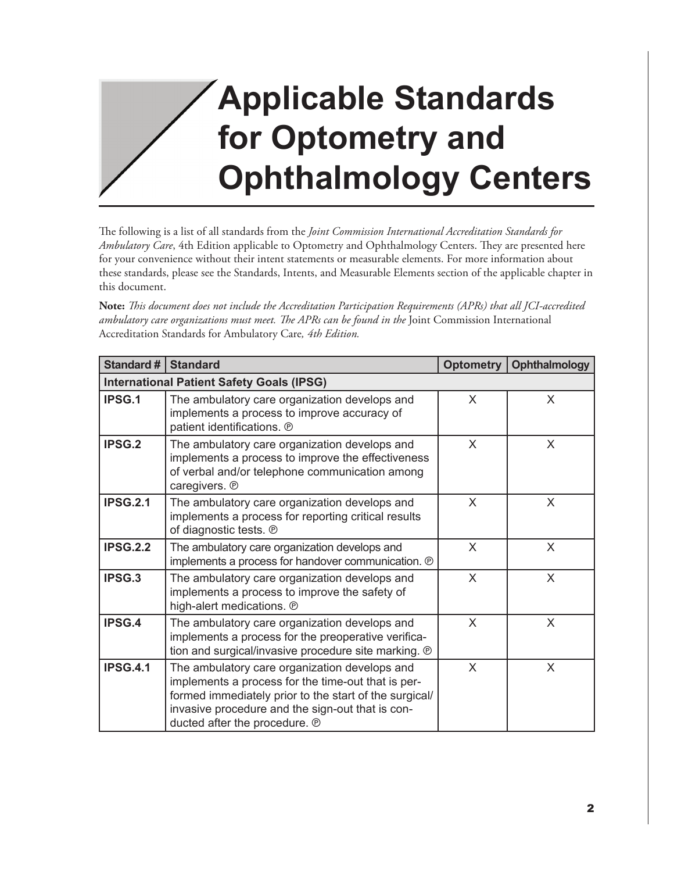## **Applicable Standards for Optometry and Ophthalmology Centers**

The following is a list of all standards from the *Joint Commission International Accreditation Standards for Ambulatory Care*, 4th Edition applicable to Optometry and Ophthalmology Centers. They are presented here for your convenience without their intent statements or measurable elements. For more information about these standards, please see the Standards, Intents, and Measurable Elements section of the applicable chapter in this document.

**Note:** *This document does not include the Accreditation Participation Requirements (APRs) that all JCI-accredited ambulatory care organizations must meet. The APRs can be found in the* Joint Commission International Accreditation Standards for Ambulatory Care*, 4th Edition.* 

| Standard # $ $  | <b>Standard</b>                                                                                                                                                                                                                                    | Optometry    | Ophthalmology |  |  |
|-----------------|----------------------------------------------------------------------------------------------------------------------------------------------------------------------------------------------------------------------------------------------------|--------------|---------------|--|--|
|                 | <b>International Patient Safety Goals (IPSG)</b>                                                                                                                                                                                                   |              |               |  |  |
| IPSG.1          | The ambulatory care organization develops and<br>implements a process to improve accuracy of<br>patient identifications. ®                                                                                                                         | X            | X             |  |  |
| <b>IPSG.2</b>   | The ambulatory care organization develops and<br>implements a process to improve the effectiveness<br>of verbal and/or telephone communication among<br>caregivers. ®                                                                              | $\mathsf{X}$ | X             |  |  |
| <b>IPSG.2.1</b> | The ambulatory care organization develops and<br>implements a process for reporting critical results<br>of diagnostic tests. ®                                                                                                                     | X            | X             |  |  |
| <b>IPSG.2.2</b> | The ambulatory care organization develops and<br>implements a process for handover communication. ®                                                                                                                                                | X            | X             |  |  |
| <b>IPSG.3</b>   | The ambulatory care organization develops and<br>implements a process to improve the safety of<br>high-alert medications. ®                                                                                                                        | X            | X             |  |  |
| <b>IPSG.4</b>   | The ambulatory care organization develops and<br>implements a process for the preoperative verifica-<br>tion and surgical/invasive procedure site marking. ®                                                                                       | X            | X             |  |  |
| <b>IPSG.4.1</b> | The ambulatory care organization develops and<br>implements a process for the time-out that is per-<br>formed immediately prior to the start of the surgical/<br>invasive procedure and the sign-out that is con-<br>ducted after the procedure. ® | X            | X             |  |  |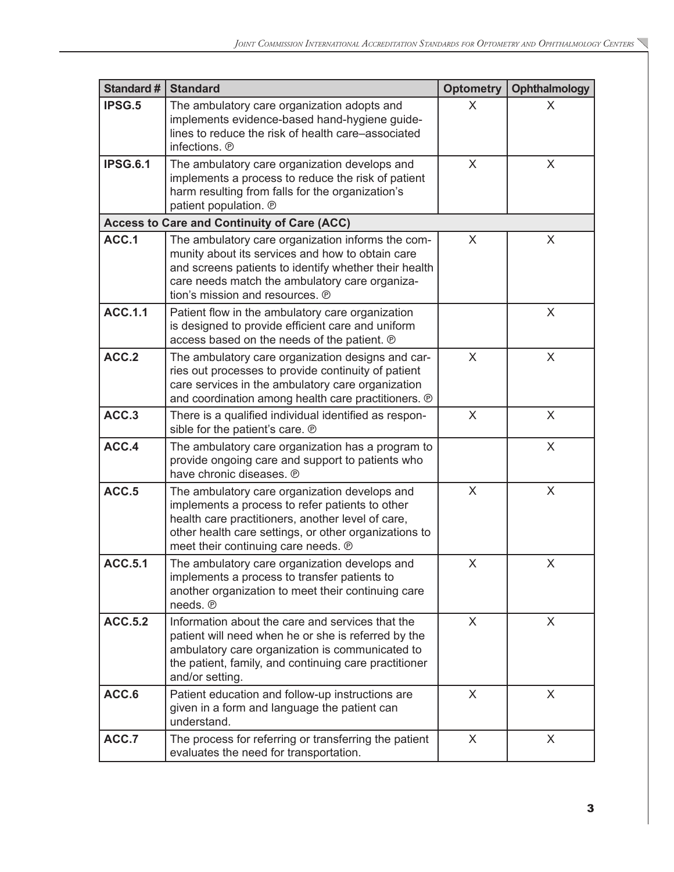| <b>Standard #</b> | <b>Standard</b>                                                                                                                                                                                                                                       | <b>Optometry</b> | <b>Ophthalmology</b> |
|-------------------|-------------------------------------------------------------------------------------------------------------------------------------------------------------------------------------------------------------------------------------------------------|------------------|----------------------|
| IPSG.5            | The ambulatory care organization adopts and<br>implements evidence-based hand-hygiene guide-<br>lines to reduce the risk of health care-associated<br>infections. ®                                                                                   | X                | X                    |
| <b>IPSG.6.1</b>   | The ambulatory care organization develops and<br>implements a process to reduce the risk of patient<br>harm resulting from falls for the organization's<br>patient population. ®                                                                      | X                | X                    |
|                   | <b>Access to Care and Continuity of Care (ACC)</b>                                                                                                                                                                                                    |                  |                      |
| ACC.1             | The ambulatory care organization informs the com-<br>munity about its services and how to obtain care<br>and screens patients to identify whether their health<br>care needs match the ambulatory care organiza-<br>tion's mission and resources. ®   | $\sf X$          | X                    |
| <b>ACC.1.1</b>    | Patient flow in the ambulatory care organization<br>is designed to provide efficient care and uniform<br>access based on the needs of the patient. @                                                                                                  |                  | X                    |
| ACC.2             | The ambulatory care organization designs and car-<br>ries out processes to provide continuity of patient<br>care services in the ambulatory care organization<br>and coordination among health care practitioners. ®                                  | X                | X                    |
| ACC.3             | There is a qualified individual identified as respon-<br>sible for the patient's care. ®                                                                                                                                                              | X                | X                    |
| ACC.4             | The ambulatory care organization has a program to<br>provide ongoing care and support to patients who<br>have chronic diseases. ®                                                                                                                     |                  | X                    |
| ACC.5             | The ambulatory care organization develops and<br>implements a process to refer patients to other<br>health care practitioners, another level of care,<br>other health care settings, or other organizations to<br>meet their continuing care needs. ® | X                | X                    |
| <b>ACC.5.1</b>    | The ambulatory care organization develops and<br>implements a process to transfer patients to<br>another organization to meet their continuing care<br>needs. ®                                                                                       | X                | X                    |
| <b>ACC.5.2</b>    | Information about the care and services that the<br>patient will need when he or she is referred by the<br>ambulatory care organization is communicated to<br>the patient, family, and continuing care practitioner<br>and/or setting.                | X                | X                    |
| ACC.6             | Patient education and follow-up instructions are<br>given in a form and language the patient can<br>understand.                                                                                                                                       | X                | X                    |
| ACC.7             | The process for referring or transferring the patient<br>evaluates the need for transportation.                                                                                                                                                       | X                | X                    |

 $\overline{\phantom{0}}$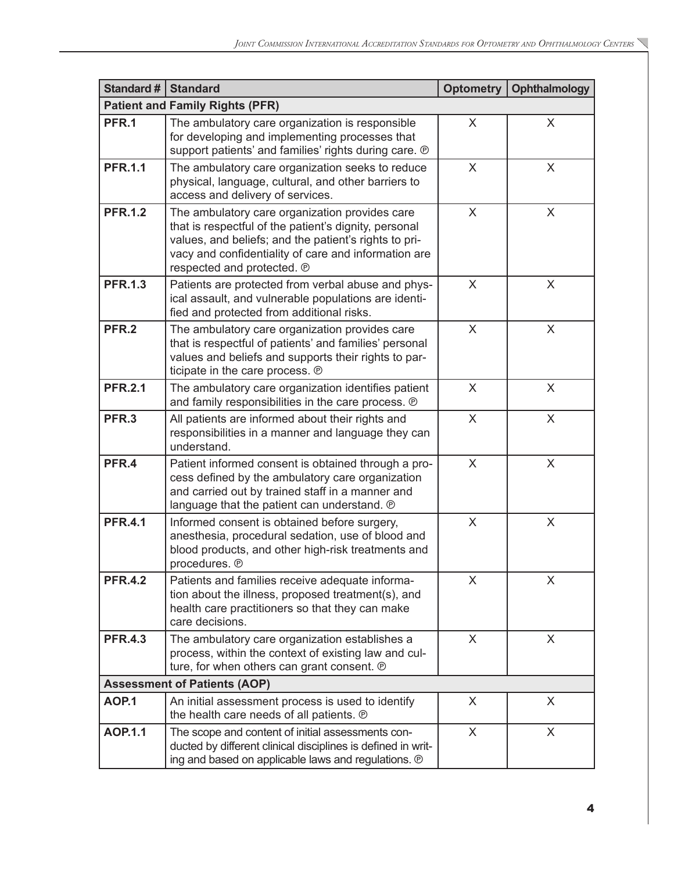| Standard #   Standard |                                                                                                                                                                                                                                                        | Optometry | Ophthalmology |
|-----------------------|--------------------------------------------------------------------------------------------------------------------------------------------------------------------------------------------------------------------------------------------------------|-----------|---------------|
|                       | <b>Patient and Family Rights (PFR)</b>                                                                                                                                                                                                                 |           |               |
| PFR.1                 | The ambulatory care organization is responsible<br>for developing and implementing processes that<br>support patients' and families' rights during care. ®                                                                                             | X         | X             |
| <b>PFR.1.1</b>        | The ambulatory care organization seeks to reduce<br>physical, language, cultural, and other barriers to<br>access and delivery of services.                                                                                                            | X         | X             |
| <b>PFR.1.2</b>        | The ambulatory care organization provides care<br>that is respectful of the patient's dignity, personal<br>values, and beliefs; and the patient's rights to pri-<br>vacy and confidentiality of care and information are<br>respected and protected. ® | X         | X             |
| <b>PFR.1.3</b>        | Patients are protected from verbal abuse and phys-<br>ical assault, and vulnerable populations are identi-<br>fied and protected from additional risks.                                                                                                | X         | X             |
| PFR.2                 | The ambulatory care organization provides care<br>that is respectful of patients' and families' personal<br>values and beliefs and supports their rights to par-<br>ticipate in the care process. @                                                    | X         | $\mathsf{X}$  |
| <b>PFR.2.1</b>        | The ambulatory care organization identifies patient<br>and family responsibilities in the care process. ®                                                                                                                                              | X         | X             |
| PFR.3                 | All patients are informed about their rights and<br>responsibilities in a manner and language they can<br>understand.                                                                                                                                  | X         | X             |
| PFR.4                 | Patient informed consent is obtained through a pro-<br>cess defined by the ambulatory care organization<br>and carried out by trained staff in a manner and<br>language that the patient can understand. ®                                             | X         | X             |
| <b>PFR.4.1</b>        | Informed consent is obtained before surgery,<br>anesthesia, procedural sedation, use of blood and<br>blood products, and other high-risk treatments and<br>procedures. ®                                                                               | X         | X             |
| <b>PFR.4.2</b>        | Patients and families receive adequate informa-<br>tion about the illness, proposed treatment(s), and<br>health care practitioners so that they can make<br>care decisions.                                                                            | X         | X             |
| <b>PFR.4.3</b>        | The ambulatory care organization establishes a<br>process, within the context of existing law and cul-<br>ture, for when others can grant consent. @                                                                                                   | X         | X             |
|                       | <b>Assessment of Patients (AOP)</b>                                                                                                                                                                                                                    |           |               |
| <b>AOP.1</b>          | An initial assessment process is used to identify<br>the health care needs of all patients. ®                                                                                                                                                          | X         | X             |
| <b>AOP.1.1</b>        | The scope and content of initial assessments con-<br>ducted by different clinical disciplines is defined in writ-<br>ing and based on applicable laws and regulations. ®                                                                               | $\sf X$   | X             |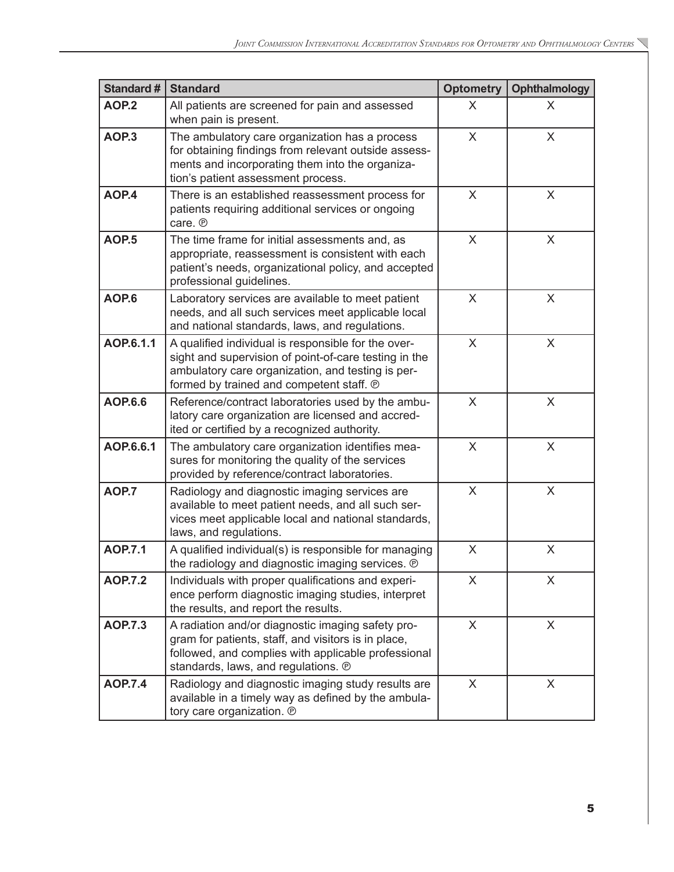| <b>Standard#</b>  | <b>Standard</b>                                                                                                                                                                                               | <b>Optometry</b> | <b>Ophthalmology</b> |
|-------------------|---------------------------------------------------------------------------------------------------------------------------------------------------------------------------------------------------------------|------------------|----------------------|
| AOP <sub>.2</sub> | All patients are screened for pain and assessed<br>when pain is present.                                                                                                                                      | X                | X                    |
| AOP <sub>3</sub>  | The ambulatory care organization has a process<br>for obtaining findings from relevant outside assess-<br>ments and incorporating them into the organiza-<br>tion's patient assessment process.               | X                | X                    |
| AOP.4             | There is an established reassessment process for<br>patients requiring additional services or ongoing<br>care. ®                                                                                              | $\sf X$          | X                    |
| AOP <sub>.5</sub> | The time frame for initial assessments and, as<br>appropriate, reassessment is consistent with each<br>patient's needs, organizational policy, and accepted<br>professional guidelines.                       | X                | X                    |
| AOP.6             | Laboratory services are available to meet patient<br>needs, and all such services meet applicable local<br>and national standards, laws, and regulations.                                                     | X                | X                    |
| AOP.6.1.1         | A qualified individual is responsible for the over-<br>sight and supervision of point-of-care testing in the<br>ambulatory care organization, and testing is per-<br>formed by trained and competent staff. ® | $\times$         | $\times$             |
| <b>AOP.6.6</b>    | Reference/contract laboratories used by the ambu-<br>latory care organization are licensed and accred-<br>ited or certified by a recognized authority.                                                        | X                | X                    |
| AOP.6.6.1         | The ambulatory care organization identifies mea-<br>sures for monitoring the quality of the services<br>provided by reference/contract laboratories.                                                          | X                | X                    |
| AOP.7             | Radiology and diagnostic imaging services are<br>available to meet patient needs, and all such ser-<br>vices meet applicable local and national standards,<br>laws, and regulations.                          | X                | X                    |
| <b>AOP.7.1</b>    | A qualified individual(s) is responsible for managing<br>the radiology and diagnostic imaging services. ®                                                                                                     | X                | X                    |
| <b>AOP.7.2</b>    | Individuals with proper qualifications and experi-<br>ence perform diagnostic imaging studies, interpret<br>the results, and report the results.                                                              | X                | X                    |
| <b>AOP.7.3</b>    | A radiation and/or diagnostic imaging safety pro-<br>gram for patients, staff, and visitors is in place,<br>followed, and complies with applicable professional<br>standards, laws, and regulations. ®        | X                | X                    |
| <b>AOP.7.4</b>    | Radiology and diagnostic imaging study results are<br>available in a timely way as defined by the ambula-<br>tory care organization. ®                                                                        | $\sf X$          | X                    |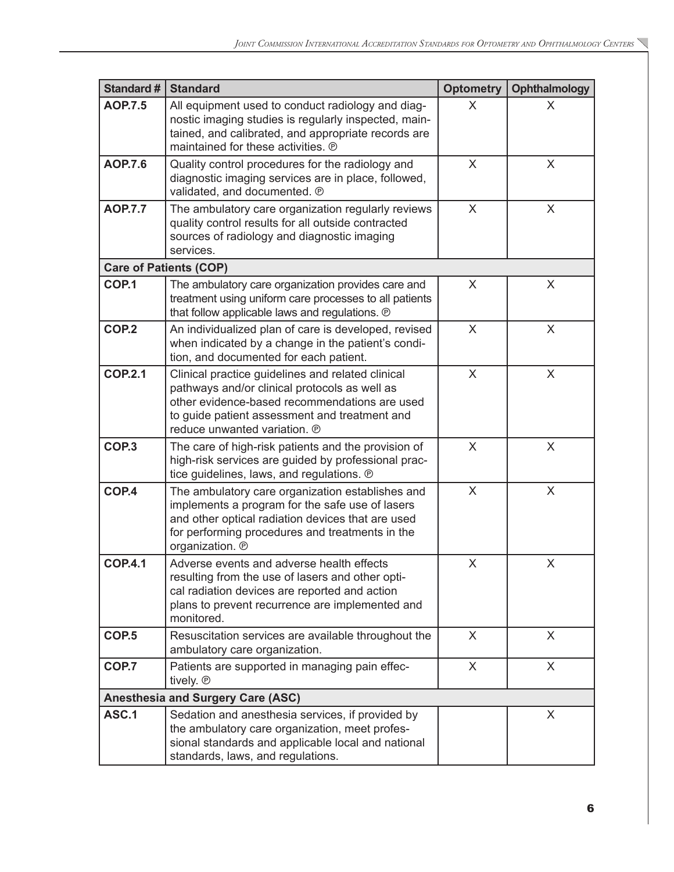| <b>Standard#</b>  | <b>Standard</b>                                                                                                                                                                                                                      | <b>Optometry</b> | Ophthalmology |
|-------------------|--------------------------------------------------------------------------------------------------------------------------------------------------------------------------------------------------------------------------------------|------------------|---------------|
| <b>AOP.7.5</b>    | All equipment used to conduct radiology and diag-<br>nostic imaging studies is regularly inspected, main-<br>tained, and calibrated, and appropriate records are<br>maintained for these activities. ®                               | X                | X             |
| <b>AOP.7.6</b>    | Quality control procedures for the radiology and<br>diagnostic imaging services are in place, followed,<br>validated, and documented. ®                                                                                              | X                | X             |
| <b>AOP.7.7</b>    | The ambulatory care organization regularly reviews<br>quality control results for all outside contracted<br>sources of radiology and diagnostic imaging<br>services.                                                                 | X                | X             |
|                   | <b>Care of Patients (COP)</b>                                                                                                                                                                                                        |                  |               |
| COP.1             | The ambulatory care organization provides care and<br>treatment using uniform care processes to all patients<br>that follow applicable laws and regulations. @                                                                       | X                | X             |
| COP <sub>.2</sub> | An individualized plan of care is developed, revised<br>when indicated by a change in the patient's condi-<br>tion, and documented for each patient.                                                                                 | X                | X             |
| <b>COP.2.1</b>    | Clinical practice guidelines and related clinical<br>pathways and/or clinical protocols as well as<br>other evidence-based recommendations are used<br>to guide patient assessment and treatment and<br>reduce unwanted variation. ® | X                | X             |
| COP <sub>3</sub>  | The care of high-risk patients and the provision of<br>high-risk services are guided by professional prac-<br>tice guidelines, laws, and regulations. @                                                                              | X                | X             |
| COP.4             | The ambulatory care organization establishes and<br>implements a program for the safe use of lasers<br>and other optical radiation devices that are used<br>for performing procedures and treatments in the<br>organization. ®       | X                | X             |
| <b>COP.4.1</b>    | Adverse events and adverse health effects<br>resulting from the use of lasers and other opti-<br>cal radiation devices are reported and action<br>plans to prevent recurrence are implemented and<br>monitored.                      | X                | X             |
| COP <sub>.5</sub> | Resuscitation services are available throughout the<br>ambulatory care organization.                                                                                                                                                 | X                | X             |
| COP.7             | Patients are supported in managing pain effec-<br>tively. ®                                                                                                                                                                          | X                | X             |
|                   | <b>Anesthesia and Surgery Care (ASC)</b>                                                                                                                                                                                             |                  |               |
| ASC.1             | Sedation and anesthesia services, if provided by<br>the ambulatory care organization, meet profes-<br>sional standards and applicable local and national<br>standards, laws, and regulations.                                        |                  | X             |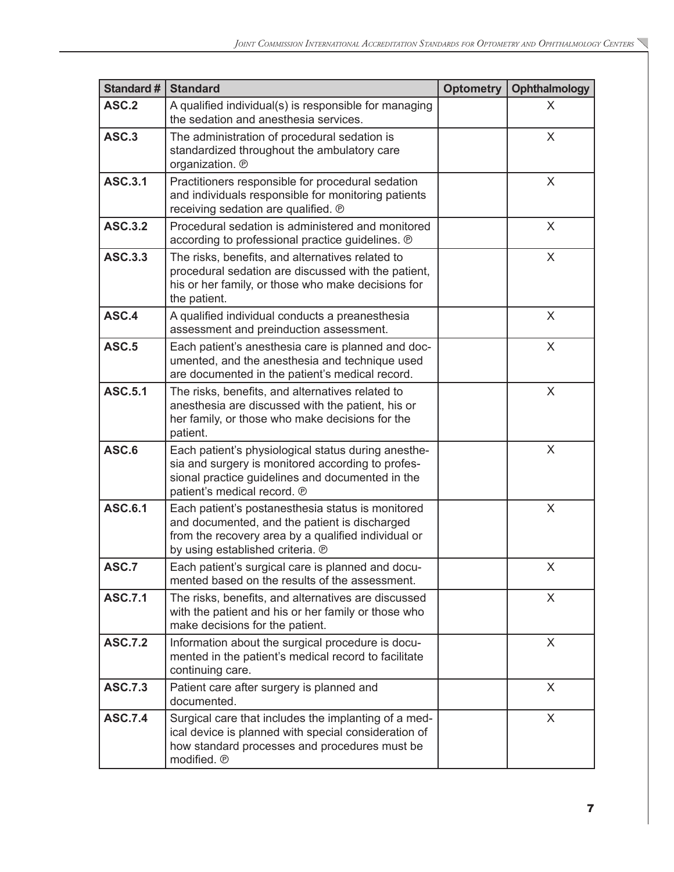| Standard #     | <b>Standard</b>                                                                                                                                                                               | <b>Optometry</b> | Ophthalmology  |
|----------------|-----------------------------------------------------------------------------------------------------------------------------------------------------------------------------------------------|------------------|----------------|
| ASC.2          | A qualified individual(s) is responsible for managing<br>the sedation and anesthesia services.                                                                                                |                  | X              |
| ASC.3          | The administration of procedural sedation is<br>standardized throughout the ambulatory care<br>organization. ®                                                                                |                  | X              |
| <b>ASC.3.1</b> | Practitioners responsible for procedural sedation<br>and individuals responsible for monitoring patients<br>receiving sedation are qualified. ®                                               |                  | X              |
| <b>ASC.3.2</b> | Procedural sedation is administered and monitored<br>according to professional practice guidelines. ®                                                                                         |                  | X              |
| <b>ASC.3.3</b> | The risks, benefits, and alternatives related to<br>procedural sedation are discussed with the patient,<br>his or her family, or those who make decisions for<br>the patient.                 |                  | X              |
| ASC.4          | A qualified individual conducts a preanesthesia<br>assessment and preinduction assessment.                                                                                                    |                  | X              |
| ASC.5          | Each patient's anesthesia care is planned and doc-<br>umented, and the anesthesia and technique used<br>are documented in the patient's medical record.                                       |                  | X              |
| <b>ASC.5.1</b> | The risks, benefits, and alternatives related to<br>anesthesia are discussed with the patient, his or<br>her family, or those who make decisions for the<br>patient.                          |                  | X              |
| ASC.6          | Each patient's physiological status during anesthe-<br>sia and surgery is monitored according to profes-<br>sional practice guidelines and documented in the<br>patient's medical record. ®   |                  | $\pmb{\times}$ |
| <b>ASC.6.1</b> | Each patient's postanesthesia status is monitored<br>and documented, and the patient is discharged<br>from the recovery area by a qualified individual or<br>by using established criteria. ® |                  | X              |
| ASC.7          | Each patient's surgical care is planned and docu-<br>mented based on the results of the assessment.                                                                                           |                  | X              |
| <b>ASC.7.1</b> | The risks, benefits, and alternatives are discussed<br>with the patient and his or her family or those who<br>make decisions for the patient.                                                 |                  | X              |
| <b>ASC.7.2</b> | Information about the surgical procedure is docu-<br>mented in the patient's medical record to facilitate<br>continuing care.                                                                 |                  | X              |
| <b>ASC.7.3</b> | Patient care after surgery is planned and<br>documented.                                                                                                                                      |                  | X              |
| <b>ASC.7.4</b> | Surgical care that includes the implanting of a med-<br>ical device is planned with special consideration of<br>how standard processes and procedures must be<br>modified. ®                  |                  | X              |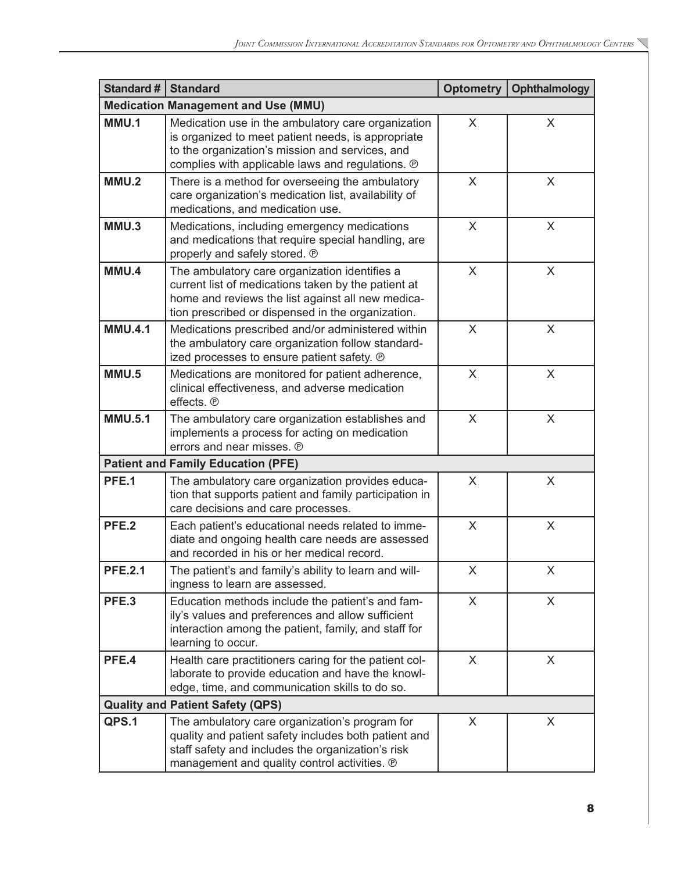| Standard # $ $ | <b>Standard</b>                                                                                                                                                                                                 | Optometry | Ophthalmology |
|----------------|-----------------------------------------------------------------------------------------------------------------------------------------------------------------------------------------------------------------|-----------|---------------|
|                | <b>Medication Management and Use (MMU)</b>                                                                                                                                                                      |           |               |
| MMU.1          | Medication use in the ambulatory care organization<br>is organized to meet patient needs, is appropriate<br>to the organization's mission and services, and<br>complies with applicable laws and regulations. ® | $\sf X$   | X             |
| MMU.2          | There is a method for overseeing the ambulatory<br>care organization's medication list, availability of<br>medications, and medication use.                                                                     | X         | X             |
| MMU.3          | Medications, including emergency medications<br>and medications that require special handling, are<br>properly and safely stored. ®                                                                             | X         | X             |
| MMU.4          | The ambulatory care organization identifies a<br>current list of medications taken by the patient at<br>home and reviews the list against all new medica-<br>tion prescribed or dispensed in the organization.  | X         | X             |
| <b>MMU.4.1</b> | Medications prescribed and/or administered within<br>the ambulatory care organization follow standard-<br>ized processes to ensure patient safety. @                                                            | $\times$  | X             |
| <b>MMU.5</b>   | Medications are monitored for patient adherence,<br>clinical effectiveness, and adverse medication<br>effects. ®                                                                                                | X         | X             |
| <b>MMU.5.1</b> | The ambulatory care organization establishes and<br>implements a process for acting on medication<br>errors and near misses. ®                                                                                  | X         | X             |
|                | <b>Patient and Family Education (PFE)</b>                                                                                                                                                                       |           |               |
| PFE.1          | The ambulatory care organization provides educa-<br>tion that supports patient and family participation in<br>care decisions and care processes.                                                                | X         | X             |
| PFE.2          | Each patient's educational needs related to imme-<br>diate and ongoing health care needs are assessed<br>and recorded in his or her medical record.                                                             | $\sf X$   | X             |
| <b>PFE.2.1</b> | The patient's and family's ability to learn and will-<br>ingness to learn are assessed.                                                                                                                         | X         | X.            |
| PFE.3          | Education methods include the patient's and fam-<br>ily's values and preferences and allow sufficient<br>interaction among the patient, family, and staff for<br>learning to occur.                             | X         | X             |
| PFE.4          | Health care practitioners caring for the patient col-<br>laborate to provide education and have the knowl-<br>edge, time, and communication skills to do so.                                                    | X         | X             |
|                | <b>Quality and Patient Safety (QPS)</b>                                                                                                                                                                         |           |               |
| QPS.1          | The ambulatory care organization's program for<br>quality and patient safety includes both patient and<br>staff safety and includes the organization's risk<br>management and quality control activities. ®     | X         | X             |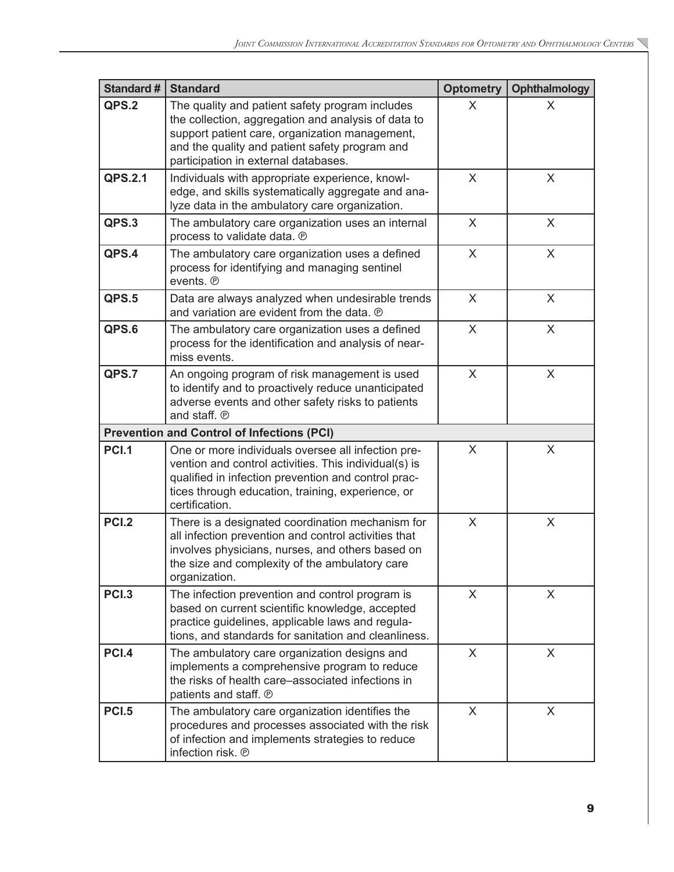| <b>Standard#</b> | <b>Standard</b>                                                                                                                                                                                                                                    | <b>Optometry</b> | Ophthalmology |
|------------------|----------------------------------------------------------------------------------------------------------------------------------------------------------------------------------------------------------------------------------------------------|------------------|---------------|
| QPS.2            | The quality and patient safety program includes<br>the collection, aggregation and analysis of data to<br>support patient care, organization management,<br>and the quality and patient safety program and<br>participation in external databases. | X                | X             |
| QPS.2.1          | Individuals with appropriate experience, knowl-<br>edge, and skills systematically aggregate and ana-<br>lyze data in the ambulatory care organization.                                                                                            | $\sf X$          | X             |
| QPS.3            | The ambulatory care organization uses an internal<br>process to validate data. @                                                                                                                                                                   | X                | X             |
| QPS.4            | The ambulatory care organization uses a defined<br>process for identifying and managing sentinel<br>events. ®                                                                                                                                      | $\sf X$          | X             |
| QPS.5            | Data are always analyzed when undesirable trends<br>and variation are evident from the data. ®                                                                                                                                                     | X                | X             |
| QPS.6            | The ambulatory care organization uses a defined<br>process for the identification and analysis of near-<br>miss events.                                                                                                                            | $\times$         | X             |
| QPS.7            | An ongoing program of risk management is used<br>to identify and to proactively reduce unanticipated<br>adverse events and other safety risks to patients<br>and staff. ®                                                                          | X                | X             |
|                  | <b>Prevention and Control of Infections (PCI)</b>                                                                                                                                                                                                  |                  |               |
| <b>PCI.1</b>     | One or more individuals oversee all infection pre-<br>vention and control activities. This individual(s) is<br>qualified in infection prevention and control prac-<br>tices through education, training, experience, or<br>certification.          | X                | X             |
| <b>PCI.2</b>     | There is a designated coordination mechanism for<br>all infection prevention and control activities that<br>involves physicians, nurses, and others based on<br>the size and complexity of the ambulatory care<br>organization.                    | X                | X             |
| <b>PCI.3</b>     | The infection prevention and control program is<br>based on current scientific knowledge, accepted<br>practice guidelines, applicable laws and regula-<br>tions, and standards for sanitation and cleanliness.                                     | X                | X             |
| PCI.4            | The ambulatory care organization designs and<br>implements a comprehensive program to reduce<br>the risks of health care-associated infections in<br>patients and staff. ®                                                                         | $\times$         | X             |
| <b>PCI.5</b>     | The ambulatory care organization identifies the<br>procedures and processes associated with the risk<br>of infection and implements strategies to reduce<br>infection risk. ®                                                                      | X                | X             |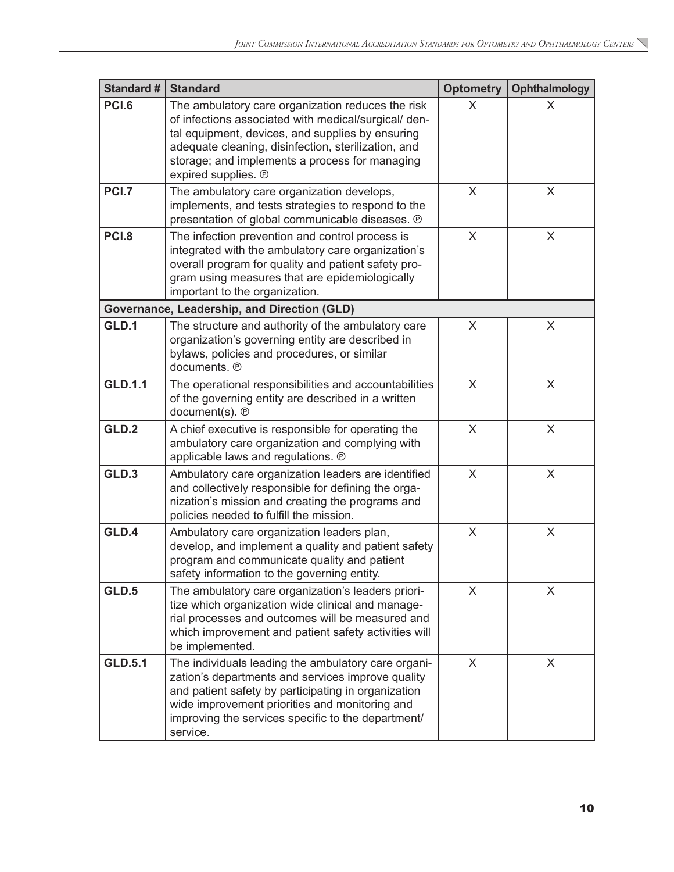$\overline{\phantom{0}}$ 

| <b>Standard#</b> | <b>Standard</b>                                                                                                                                                                                                                                                                               | <b>Optometry</b> | <b>Ophthalmology</b> |
|------------------|-----------------------------------------------------------------------------------------------------------------------------------------------------------------------------------------------------------------------------------------------------------------------------------------------|------------------|----------------------|
| <b>PCI.6</b>     | The ambulatory care organization reduces the risk<br>of infections associated with medical/surgical/ den-<br>tal equipment, devices, and supplies by ensuring<br>adequate cleaning, disinfection, sterilization, and<br>storage; and implements a process for managing<br>expired supplies. ® | X                | X                    |
| <b>PCI.7</b>     | The ambulatory care organization develops,<br>implements, and tests strategies to respond to the<br>presentation of global communicable diseases. ®                                                                                                                                           | X                | X                    |
| PCI.8            | The infection prevention and control process is<br>integrated with the ambulatory care organization's<br>overall program for quality and patient safety pro-<br>gram using measures that are epidemiologically<br>important to the organization.                                              | $\times$         | X                    |
|                  | Governance, Leadership, and Direction (GLD)                                                                                                                                                                                                                                                   |                  |                      |
| GLD.1            | The structure and authority of the ambulatory care<br>organization's governing entity are described in<br>bylaws, policies and procedures, or similar<br>documents. ®                                                                                                                         | X                | X                    |
| <b>GLD.1.1</b>   | The operational responsibilities and accountabilities<br>of the governing entity are described in a written<br>document(s). ®                                                                                                                                                                 | X                | X                    |
| GLD.2            | A chief executive is responsible for operating the<br>ambulatory care organization and complying with<br>applicable laws and regulations. ®                                                                                                                                                   | X                | X                    |
| GLD.3            | Ambulatory care organization leaders are identified<br>and collectively responsible for defining the orga-<br>nization's mission and creating the programs and<br>policies needed to fulfill the mission.                                                                                     | X                | $\times$             |
| GLD.4            | Ambulatory care organization leaders plan,<br>develop, and implement a quality and patient safety<br>program and communicate quality and patient<br>safety information to the governing entity.                                                                                               | X                | X                    |
| GLD.5            | The ambulatory care organization's leaders priori-<br>tize which organization wide clinical and manage-<br>rial processes and outcomes will be measured and<br>which improvement and patient safety activities will<br>be implemented.                                                        | X                | X                    |
| <b>GLD.5.1</b>   | The individuals leading the ambulatory care organi-<br>zation's departments and services improve quality<br>and patient safety by participating in organization<br>wide improvement priorities and monitoring and<br>improving the services specific to the department/<br>service.           | $\sf X$          | X                    |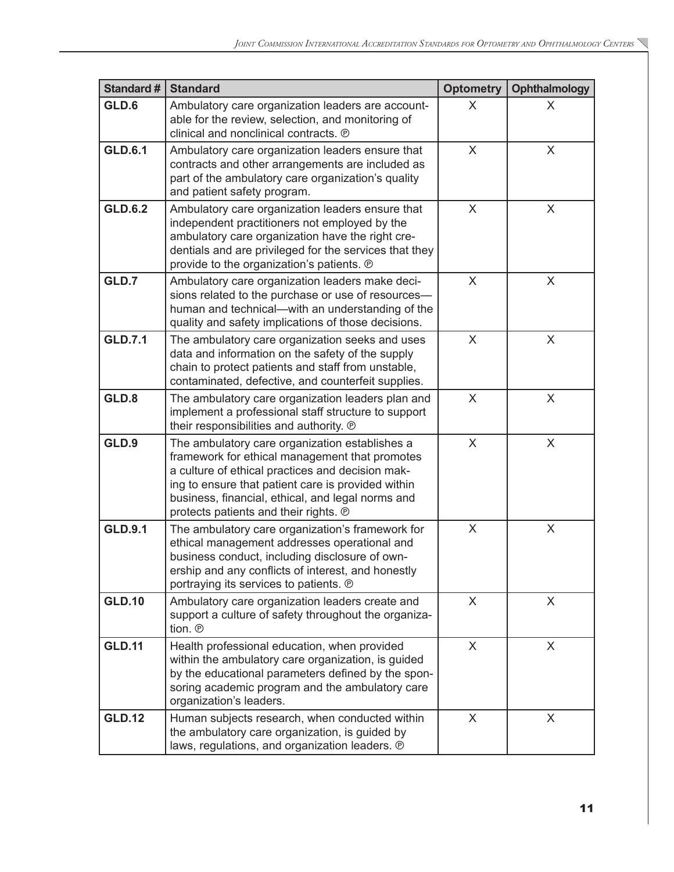$\overline{\phantom{0}}$ 

| <b>Standard #</b> | <b>Standard</b>                                                                                                                                                                                                                                                                                          | <b>Optometry</b> | <b>Ophthalmology</b>      |
|-------------------|----------------------------------------------------------------------------------------------------------------------------------------------------------------------------------------------------------------------------------------------------------------------------------------------------------|------------------|---------------------------|
| GLD.6             | Ambulatory care organization leaders are account-<br>able for the review, selection, and monitoring of<br>clinical and nonclinical contracts. ®                                                                                                                                                          | $\sf X$          | X                         |
| <b>GLD.6.1</b>    | Ambulatory care organization leaders ensure that<br>contracts and other arrangements are included as<br>part of the ambulatory care organization's quality<br>and patient safety program.                                                                                                                | X                | $\boldsymbol{\mathsf{X}}$ |
| <b>GLD.6.2</b>    | Ambulatory care organization leaders ensure that<br>independent practitioners not employed by the<br>ambulatory care organization have the right cre-<br>dentials and are privileged for the services that they<br>provide to the organization's patients. ®                                             | X                | X                         |
| GLD.7             | Ambulatory care organization leaders make deci-<br>sions related to the purchase or use of resources-<br>human and technical—with an understanding of the<br>quality and safety implications of those decisions.                                                                                         | X                | X                         |
| <b>GLD.7.1</b>    | The ambulatory care organization seeks and uses<br>data and information on the safety of the supply<br>chain to protect patients and staff from unstable,<br>contaminated, defective, and counterfeit supplies.                                                                                          | X                | X                         |
| GLD.8             | The ambulatory care organization leaders plan and<br>implement a professional staff structure to support<br>their responsibilities and authority. ®                                                                                                                                                      | $\sf X$          | X                         |
| GLD.9             | The ambulatory care organization establishes a<br>framework for ethical management that promotes<br>a culture of ethical practices and decision mak-<br>ing to ensure that patient care is provided within<br>business, financial, ethical, and legal norms and<br>protects patients and their rights. ® | X                | X                         |
| <b>GLD.9.1</b>    | The ambulatory care organization's framework for<br>ethical management addresses operational and<br>business conduct, including disclosure of own-<br>ership and any conflicts of interest, and honestly<br>portraying its services to patients. ®                                                       | X                | X                         |
| <b>GLD.10</b>     | Ambulatory care organization leaders create and<br>support a culture of safety throughout the organiza-<br>tion. ®                                                                                                                                                                                       | X                | X                         |
| <b>GLD.11</b>     | Health professional education, when provided<br>within the ambulatory care organization, is guided<br>by the educational parameters defined by the spon-<br>soring academic program and the ambulatory care<br>organization's leaders.                                                                   | X                | X                         |
| <b>GLD.12</b>     | Human subjects research, when conducted within<br>the ambulatory care organization, is guided by<br>laws, regulations, and organization leaders. ®                                                                                                                                                       | X                | X                         |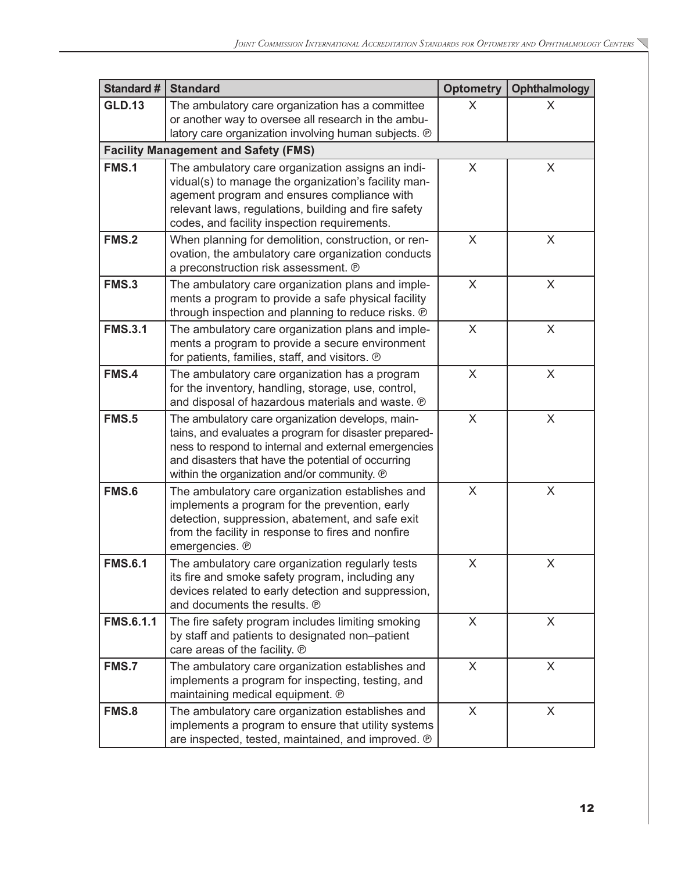| <b>Standard #</b> | <b>Standard</b>                                                                                                                                                                                                                                                        | <b>Optometry</b> | <b>Ophthalmology</b> |
|-------------------|------------------------------------------------------------------------------------------------------------------------------------------------------------------------------------------------------------------------------------------------------------------------|------------------|----------------------|
| <b>GLD.13</b>     | The ambulatory care organization has a committee<br>or another way to oversee all research in the ambu-<br>latory care organization involving human subjects. ®                                                                                                        | X                | X                    |
|                   | <b>Facility Management and Safety (FMS)</b>                                                                                                                                                                                                                            |                  |                      |
| <b>FMS.1</b>      | The ambulatory care organization assigns an indi-<br>vidual(s) to manage the organization's facility man-<br>agement program and ensures compliance with<br>relevant laws, regulations, building and fire safety<br>codes, and facility inspection requirements.       | X                | X                    |
| <b>FMS.2</b>      | When planning for demolition, construction, or ren-<br>ovation, the ambulatory care organization conducts<br>a preconstruction risk assessment. @                                                                                                                      | X                | X                    |
| <b>FMS.3</b>      | The ambulatory care organization plans and imple-<br>ments a program to provide a safe physical facility<br>through inspection and planning to reduce risks. ®                                                                                                         | X                | X                    |
| <b>FMS.3.1</b>    | The ambulatory care organization plans and imple-<br>ments a program to provide a secure environment<br>for patients, families, staff, and visitors. ®                                                                                                                 | X                | X                    |
| FMS.4             | The ambulatory care organization has a program<br>for the inventory, handling, storage, use, control,<br>and disposal of hazardous materials and waste. ®                                                                                                              | X                | X                    |
| <b>FMS.5</b>      | The ambulatory care organization develops, main-<br>tains, and evaluates a program for disaster prepared-<br>ness to respond to internal and external emergencies<br>and disasters that have the potential of occurring<br>within the organization and/or community. ® | $\sf X$          | X                    |
| <b>FMS.6</b>      | The ambulatory care organization establishes and<br>implements a program for the prevention, early<br>detection, suppression, abatement, and safe exit<br>from the facility in response to fires and nonfire<br>emergencies. ®                                         | $\sf X$          | X                    |
| <b>FMS.6.1</b>    | The ambulatory care organization regularly tests<br>its fire and smoke safety program, including any<br>devices related to early detection and suppression,<br>and documents the results. ®                                                                            | X                | X                    |
| <b>FMS.6.1.1</b>  | The fire safety program includes limiting smoking<br>by staff and patients to designated non-patient<br>care areas of the facility. ®                                                                                                                                  | X                | X                    |
| FMS.7             | The ambulatory care organization establishes and<br>implements a program for inspecting, testing, and<br>maintaining medical equipment. ®                                                                                                                              | X                | X                    |
| FMS.8             | The ambulatory care organization establishes and<br>implements a program to ensure that utility systems<br>are inspected, tested, maintained, and improved. ®                                                                                                          | X                | X                    |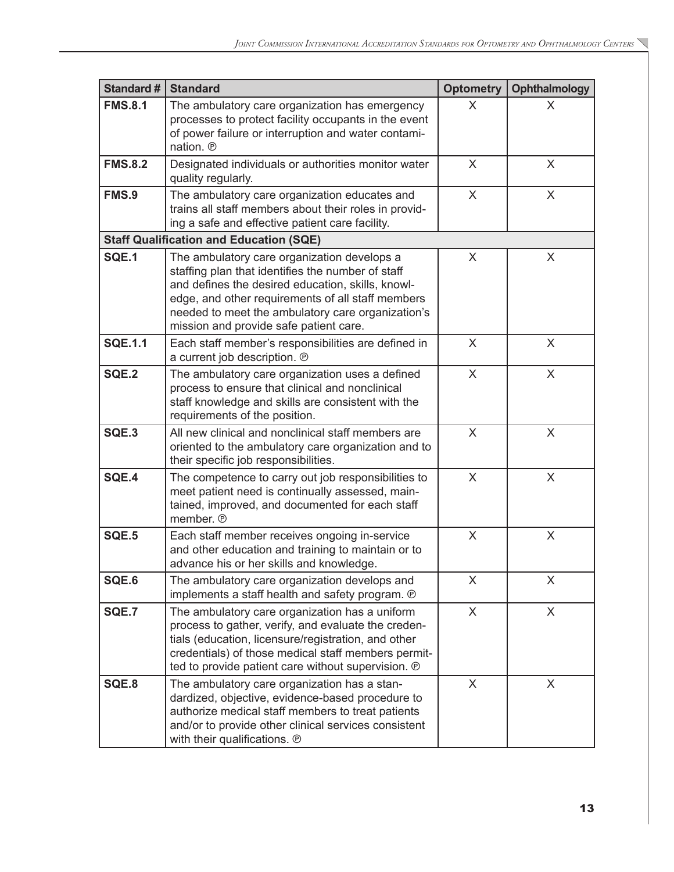| <b>Standard#</b> | <b>Standard</b>                                                                                                                                                                                                                                                                                           | <b>Optometry</b> | <b>Ophthalmology</b> |
|------------------|-----------------------------------------------------------------------------------------------------------------------------------------------------------------------------------------------------------------------------------------------------------------------------------------------------------|------------------|----------------------|
| <b>FMS.8.1</b>   | The ambulatory care organization has emergency<br>processes to protect facility occupants in the event<br>of power failure or interruption and water contami-<br>nation. ®                                                                                                                                | X                | X                    |
| <b>FMS.8.2</b>   | Designated individuals or authorities monitor water<br>quality regularly.                                                                                                                                                                                                                                 | X                | X                    |
| FMS.9            | The ambulatory care organization educates and<br>trains all staff members about their roles in provid-<br>ing a safe and effective patient care facility.                                                                                                                                                 | X                | X                    |
|                  | <b>Staff Qualification and Education (SQE)</b>                                                                                                                                                                                                                                                            |                  |                      |
| <b>SQE.1</b>     | The ambulatory care organization develops a<br>staffing plan that identifies the number of staff<br>and defines the desired education, skills, knowl-<br>edge, and other requirements of all staff members<br>needed to meet the ambulatory care organization's<br>mission and provide safe patient care. | X                | X                    |
| <b>SQE.1.1</b>   | Each staff member's responsibilities are defined in<br>a current job description. ®                                                                                                                                                                                                                       | X                | X                    |
| <b>SQE.2</b>     | The ambulatory care organization uses a defined<br>process to ensure that clinical and nonclinical<br>staff knowledge and skills are consistent with the<br>requirements of the position.                                                                                                                 | X                | X                    |
| SQE.3            | All new clinical and nonclinical staff members are<br>oriented to the ambulatory care organization and to<br>their specific job responsibilities.                                                                                                                                                         | X                | X                    |
| SQE.4            | The competence to carry out job responsibilities to<br>meet patient need is continually assessed, main-<br>tained, improved, and documented for each staff<br>member. ®                                                                                                                                   | X                | X                    |
| SQE.5            | Each staff member receives ongoing in-service<br>and other education and training to maintain or to<br>advance his or her skills and knowledge.                                                                                                                                                           | X                | X                    |
| SQE.6            | The ambulatory care organization develops and<br>implements a staff health and safety program. ®                                                                                                                                                                                                          | X                | X                    |
| <b>SQE.7</b>     | The ambulatory care organization has a uniform<br>process to gather, verify, and evaluate the creden-<br>tials (education, licensure/registration, and other<br>credentials) of those medical staff members permit-<br>ted to provide patient care without supervision. ®                                 | $\times$         | X                    |
| SQE.8            | The ambulatory care organization has a stan-<br>dardized, objective, evidence-based procedure to<br>authorize medical staff members to treat patients<br>and/or to provide other clinical services consistent<br>with their qualifications. ®                                                             | X                | X                    |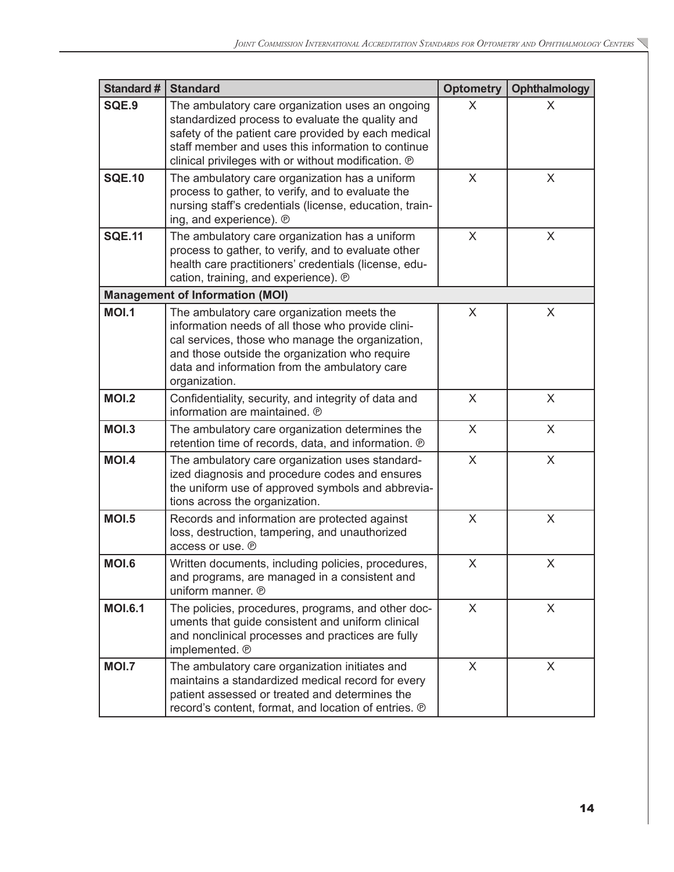| Standard #                             | <b>Standard</b>                                                                                                                                                                                                                                                          | <b>Optometry</b> | <b>Ophthalmology</b> |  |
|----------------------------------------|--------------------------------------------------------------------------------------------------------------------------------------------------------------------------------------------------------------------------------------------------------------------------|------------------|----------------------|--|
| SQE.9                                  | The ambulatory care organization uses an ongoing<br>standardized process to evaluate the quality and<br>safety of the patient care provided by each medical<br>staff member and uses this information to continue<br>clinical privileges with or without modification. ® | $\sf X$          | X                    |  |
| <b>SQE.10</b>                          | The ambulatory care organization has a uniform<br>process to gather, to verify, and to evaluate the<br>nursing staff's credentials (license, education, train-<br>ing, and experience). ®                                                                                | $\sf X$          | X                    |  |
| <b>SQE.11</b>                          | The ambulatory care organization has a uniform<br>process to gather, to verify, and to evaluate other<br>health care practitioners' credentials (license, edu-<br>cation, training, and experience). ®                                                                   | X                | X                    |  |
| <b>Management of Information (MOI)</b> |                                                                                                                                                                                                                                                                          |                  |                      |  |
| <b>MOI.1</b>                           | The ambulatory care organization meets the<br>information needs of all those who provide clini-<br>cal services, those who manage the organization,<br>and those outside the organization who require<br>data and information from the ambulatory care<br>organization.  | X                | X                    |  |
| <b>MOI.2</b>                           | Confidentiality, security, and integrity of data and<br>information are maintained. ®                                                                                                                                                                                    | X                | X                    |  |
| <b>MOI.3</b>                           | The ambulatory care organization determines the<br>retention time of records, data, and information. ®                                                                                                                                                                   | X                | X                    |  |
| <b>MOI.4</b>                           | The ambulatory care organization uses standard-<br>ized diagnosis and procedure codes and ensures<br>the uniform use of approved symbols and abbrevia-<br>tions across the organization.                                                                                 | $\times$         | $\times$             |  |
| <b>MOI.5</b>                           | Records and information are protected against<br>loss, destruction, tampering, and unauthorized<br>access or use. ®                                                                                                                                                      | X                | X                    |  |
| <b>MOI.6</b>                           | Written documents, including policies, procedures,<br>and programs, are managed in a consistent and<br>uniform manner. ®                                                                                                                                                 | X                | X                    |  |
| <b>MOI.6.1</b>                         | The policies, procedures, programs, and other doc-<br>uments that guide consistent and uniform clinical<br>and nonclinical processes and practices are fully<br>implemented. @                                                                                           | X                | X                    |  |
| <b>MOI.7</b>                           | The ambulatory care organization initiates and<br>maintains a standardized medical record for every<br>patient assessed or treated and determines the<br>record's content, format, and location of entries. ®                                                            | $\mathsf{X}$     | X                    |  |